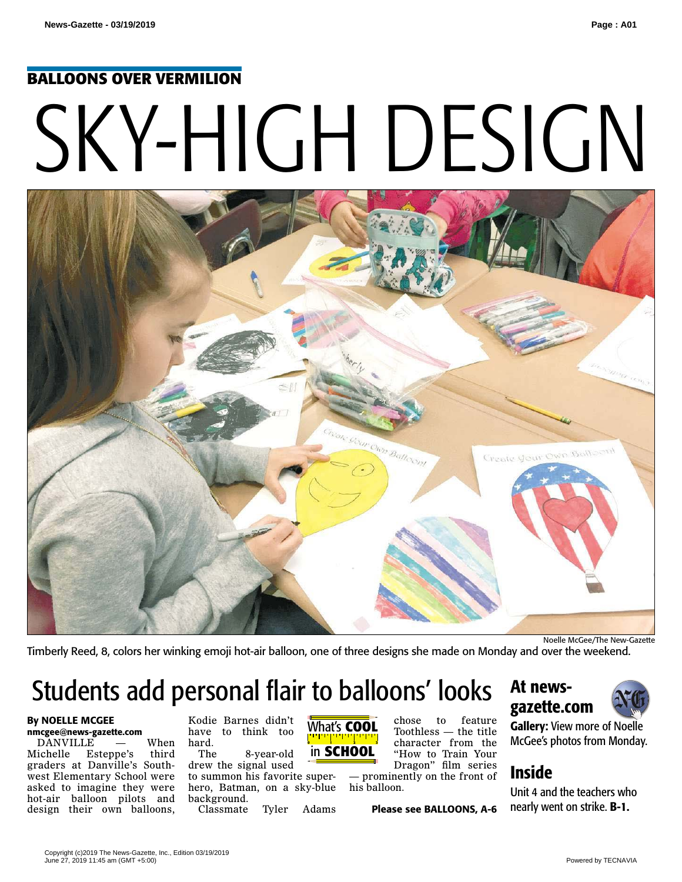#### **BALLOONS OVER VERMILION**

# SKY-HIGH DESIGN



Timberly Reed, 8, colors her winking emoji hot-air balloon, one of three designs she made on Monday and over the weekend.

# Students add personal flair to balloons' looks

#### **By NOELLE MCGEE nmcgee@news-gazette.com**

DANVILLE — When<br>Michelle Esteppe's third Esteppe's graders at Danville's Southwest Elementary School were asked to imagine they were hot-air balloon pilots and design their own balloons,

Kodie Barnes didn't have to think too hard.<br>The

8-year-old drew the signal used to summon his favorite superhero, Batman, on a sky-blue background.

Classmate Tyler Adams



chose to feature Toothless — the title character from the "How to Train Your Dragon" film series

— prominently on the front of his balloon.

**Please see BALLOONS, A-6** 

### **At newsgazette.com**



**Gallery:** View more of Noelle McGee's photos from Monday.

## **Inside**

Unit 4 and the teachers who nearly went on strike. **B-1.**